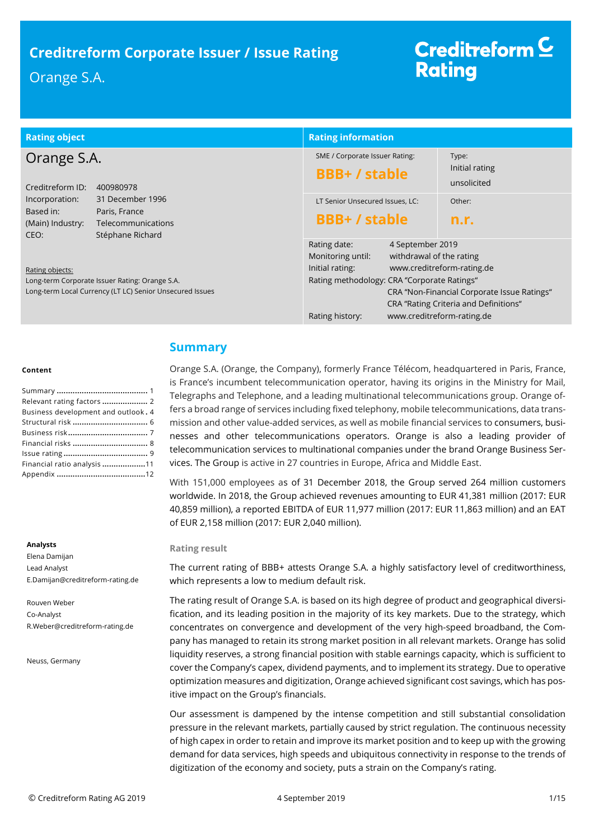| <b>Rating object</b>                                                                             |                                                | <b>Rating information</b>                   |                                              |                                             |
|--------------------------------------------------------------------------------------------------|------------------------------------------------|---------------------------------------------|----------------------------------------------|---------------------------------------------|
| Orange S.A.                                                                                      |                                                | SME / Corporate Issuer Rating:              |                                              | Type:                                       |
| Creditreform ID:                                                                                 | 400980978                                      | <b>BBB+/stable</b>                          |                                              | Initial rating<br>unsolicited               |
| Incorporation:                                                                                   | 31 December 1996                               | LT Senior Unsecured Issues, LC:             |                                              | Other:                                      |
| Based in:<br>Paris, France<br>(Main) Industry:<br>Telecommunications<br>Stéphane Richard<br>CEO: |                                                | <b>BBB+/stable</b>                          |                                              | n.r.                                        |
|                                                                                                  |                                                | Rating date:<br>Monitoring until:           | 4 September 2019<br>withdrawal of the rating |                                             |
| Rating objects:                                                                                  |                                                | Initial rating:                             | www.creditreform-rating.de                   |                                             |
|                                                                                                  | Long-term Corporate Issuer Rating: Orange S.A. | Rating methodology: CRA "Corporate Ratings" |                                              |                                             |
| Long-term Local Currency (LT LC) Senior Unsecured Issues                                         |                                                |                                             |                                              | CRA "Non-Financial Corporate Issue Ratings" |
|                                                                                                  |                                                |                                             |                                              | CRA "Rating Criteria and Definitions"       |
|                                                                                                  |                                                | Rating history:                             | www.creditreform-rating.de                   |                                             |

### **Content**

| Relevant rating factors  2          |  |
|-------------------------------------|--|
| Business development and outlook. 4 |  |
|                                     |  |
|                                     |  |
|                                     |  |
|                                     |  |
| Financial ratio analysis 11         |  |
|                                     |  |

#### **Analysts**

Elena Damijan Lead Analyst E.Damijan@creditreform-rating.de

Rouven Weber Co-Analyst R.Weber@creditreform-rating.de

Neuss, Germany

# <span id="page-0-0"></span>**Summary**

Orange S.A. (Orange, the Company), formerly France Télécom, headquartered in Paris, France, is France's incumbent telecommunication operator, having its origins in the Ministry for Mail, Telegraphs and Telephone, and a leading multinational telecommunications group. Orange offers a broad range of services including fixed telephony, mobile telecommunications, data transmission and other value-added services, as well as mobile financial services to consumers, businesses and other telecommunications operators. Orange is also a leading provider of telecommunication services to multinational companies under the brand Orange Business Services. The Group is active in 27 countries in Europe, Africa and Middle East.

With 151,000 employees as of 31 December 2018, the Group served 264 million customers worldwide. In 2018, the Group achieved revenues amounting to EUR 41,381 million (2017: EUR 40,859 million), a reported EBITDA of EUR 11,977 million (2017: EUR 11,863 million) and an EAT of EUR 2,158 million (2017: EUR 2,040 million).

#### **Rating result**

The current rating of BBB+ attests Orange S.A. a highly satisfactory level of creditworthiness, which represents a low to medium default risk.

The rating result of Orange S.A. is based on its high degree of product and geographical diversification, and its leading position in the majority of its key markets. Due to the strategy, which concentrates on convergence and development of the very high-speed broadband, the Company has managed to retain its strong market position in all relevant markets. Orange has solid liquidity reserves, a strong financial position with stable earnings capacity, which is sufficient to cover the Company's capex, dividend payments, and to implement its strategy. Due to operative optimization measures and digitization, Orange achieved significant cost savings, which has positive impact on the Group's financials.

Our assessment is dampened by the intense competition and still substantial consolidation pressure in the relevant markets, partially caused by strict regulation. The continuous necessity of high capex in order to retain and improve its market position and to keep up with the growing demand for data services, high speeds and ubiquitous connectivity in response to the trends of digitization of the economy and society, puts a strain on the Company's rating.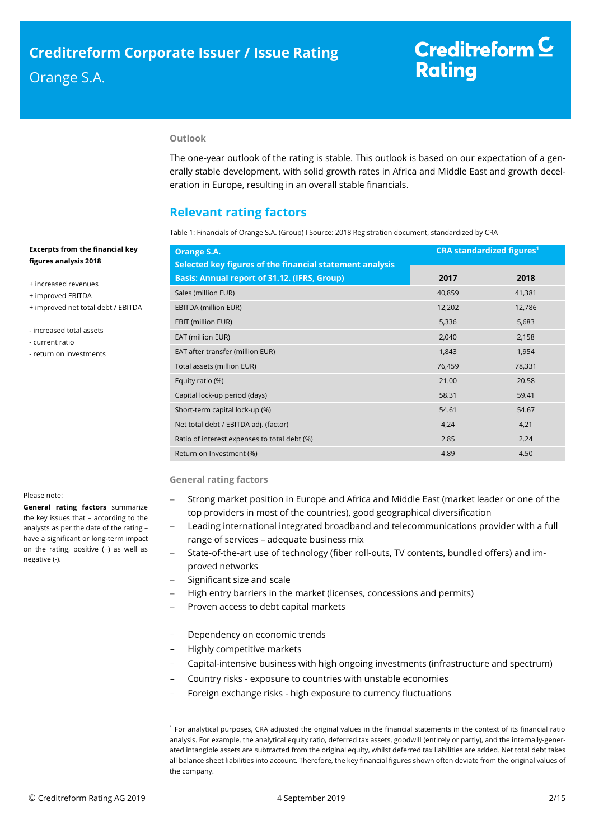# **Outlook**

The one-year outlook of the rating is stable. This outlook is based on our expectation of a generally stable development, with solid growth rates in Africa and Middle East and growth deceleration in Europe, resulting in an overall stable financials.

# <span id="page-1-0"></span>**Relevant rating factors**

Table 1: Financials of Orange S.A. (Group) I Source: 2018 Registration document, standardized by CRA

| Orange S.A.                                                                                              |        | <b>CRA standardized figures<sup>1</sup></b> |
|----------------------------------------------------------------------------------------------------------|--------|---------------------------------------------|
| Selected key figures of the financial statement analysis<br>Basis: Annual report of 31.12. (IFRS, Group) | 2017   | 2018                                        |
| Sales (million EUR)                                                                                      | 40,859 | 41,381                                      |
| EBITDA (million EUR)                                                                                     | 12,202 | 12,786                                      |
| EBIT (million EUR)                                                                                       | 5,336  | 5,683                                       |
| EAT (million EUR)                                                                                        | 2,040  | 2,158                                       |
| EAT after transfer (million EUR)                                                                         | 1,843  | 1,954                                       |
| Total assets (million EUR)                                                                               | 76,459 | 78,331                                      |
| Equity ratio (%)                                                                                         | 21.00  | 20.58                                       |
| Capital lock-up period (days)                                                                            | 58.31  | 59.41                                       |
| Short-term capital lock-up (%)                                                                           | 54.61  | 54.67                                       |
| Net total debt / EBITDA adj. (factor)                                                                    | 4,24   | 4,21                                        |
| Ratio of interest expenses to total debt (%)                                                             | 2.85   | 2.24                                        |
| Return on Investment (%)                                                                                 | 4.89   | 4.50                                        |

#### **General rating factors**

- Strong market position in Europe and Africa and Middle East (market leader or one of the top providers in most of the countries), good geographical diversification
- Leading international integrated broadband and telecommunications provider with a full range of services – adequate business mix
- State-of-the-art use of technology (fiber roll-outs, TV contents, bundled offers) and improved networks
- Significant size and scale
- + High entry barriers in the market (licenses, concessions and permits)
- Proven access to debt capital markets
- Dependency on economic trends
- Highly competitive markets

 $\overline{a}$ 

- Capital-intensive business with high ongoing investments (infrastructure and spectrum)
- Country risks exposure to countries with unstable economies
- Foreign exchange risks high exposure to currency fluctuations

## **Excerpts from the financial key figures analysis 2018**

- + increased revenues
- + improved EBITDA
- + improved net total debt / EBITDA
- increased total assets
- current ratio
- return on investments

#### Please note:

**General rating factors** summarize the key issues that – according to the analysts as per the date of the rating – have a significant or long-term impact on the rating, positive (+) as well as negative (-).

<sup>1</sup> For analytical purposes, CRA adjusted the original values in the financial statements in the context of its financial ratio analysis. For example, the analytical equity ratio, deferred tax assets, goodwill (entirely or partly), and the internally-generated intangible assets are subtracted from the original equity, whilst deferred tax liabilities are added. Net total debt takes all balance sheet liabilities into account. Therefore, the key financial figures shown often deviate from the original values of the company.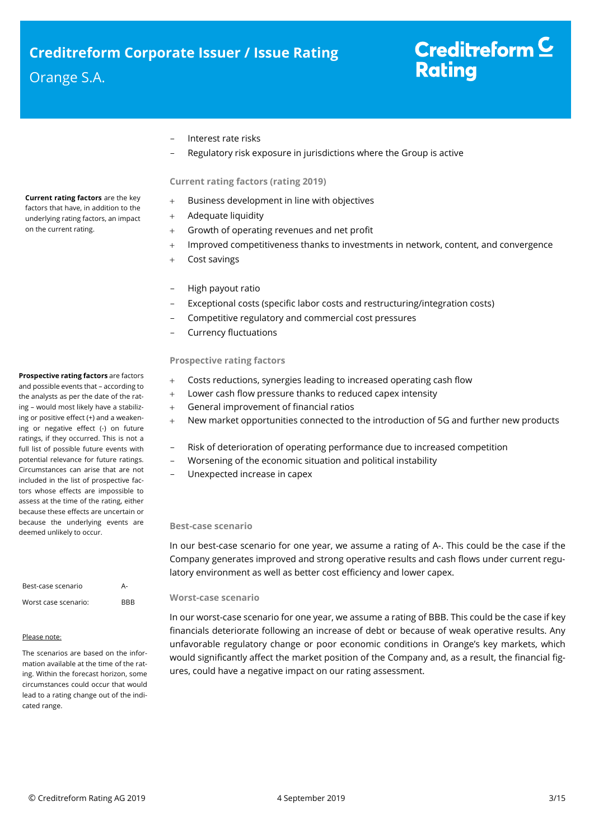# - Interest rate risks

Regulatory risk exposure in jurisdictions where the Group is active

## **Current rating factors (rating 2019)**

- Business development in line with objectives
- + Adequate liquidity
- Growth of operating revenues and net profit
- + Improved competitiveness thanks to investments in network, content, and convergence
- Cost savings
- High payout ratio
- Exceptional costs (specific labor costs and restructuring/integration costs)
- Competitive regulatory and commercial cost pressures
- Currency fluctuations

## **Prospective rating factors**

- Costs reductions, synergies leading to increased operating cash flow
- Lower cash flow pressure thanks to reduced capex intensity
- General improvement of financial ratios
- New market opportunities connected to the introduction of 5G and further new products
	- Risk of deterioration of operating performance due to increased competition
- Worsening of the economic situation and political instability
- Unexpected increase in capex

### **Best-case scenario**

In our best-case scenario for one year, we assume a rating of A-. This could be the case if the Company generates improved and strong operative results and cash flows under current regulatory environment as well as better cost efficiency and lower capex.

#### **Worst-case scenario**

In our worst-case scenario for one year, we assume a rating of BBB. This could be the case if key financials deteriorate following an increase of debt or because of weak operative results. Any unfavorable regulatory change or poor economic conditions in Orange's key markets, which would significantly affect the market position of the Company and, as a result, the financial figures, could have a negative impact on our rating assessment.

**Current rating factors** are the key factors that have, in addition to the underlying rating factors, an impact on the current rating.

# **Prospective rating factors** are factors

and possible events that – according to the analysts as per the date of the rating – would most likely have a stabilizing or positive effect (+) and a weakening or negative effect (-) on future ratings, if they occurred. This is not a full list of possible future events with potential relevance for future ratings. Circumstances can arise that are not included in the list of prospective factors whose effects are impossible to assess at the time of the rating, either because these effects are uncertain or because the underlying events are deemed unlikely to occur.

| Best-case scenario   | А-         |
|----------------------|------------|
| Worst case scenario: | <b>BBB</b> |

## Please note:

The scenarios are based on the information available at the time of the rating. Within the forecast horizon, some circumstances could occur that would lead to a rating change out of the indicated range.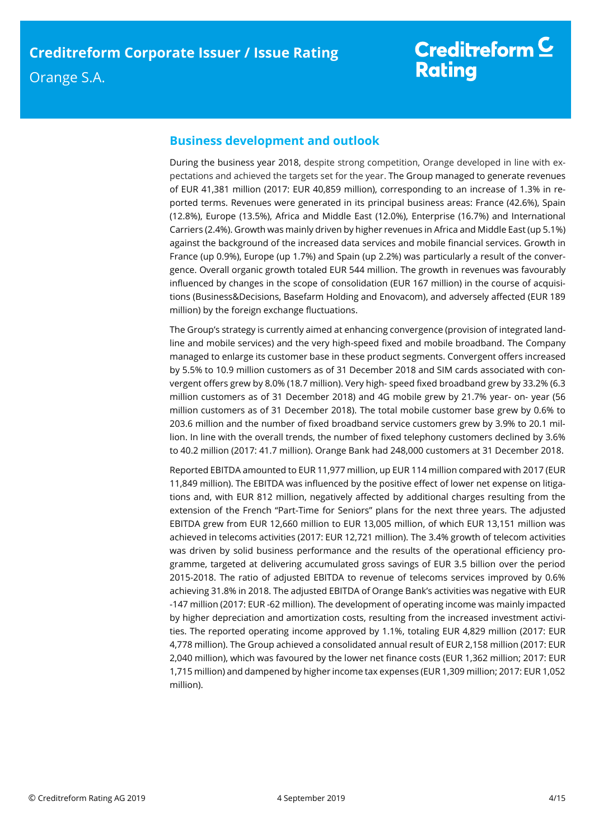# <span id="page-3-0"></span>**Business development and outlook**

During the business year 2018, despite strong competition, Orange developed in line with expectations and achieved the targets set for the year. The Group managed to generate revenues of EUR 41,381 million (2017: EUR 40,859 million), corresponding to an increase of 1.3% in reported terms. Revenues were generated in its principal business areas: France (42.6%), Spain (12.8%), Europe (13.5%), Africa and Middle East (12.0%), Enterprise (16.7%) and International Carriers (2.4%). Growth was mainly driven by higher revenues in Africa and Middle East (up 5.1%) against the background of the increased data services and mobile financial services. Growth in France (up 0.9%), Europe (up 1.7%) and Spain (up 2.2%) was particularly a result of the convergence. Overall organic growth totaled EUR 544 million. The growth in revenues was favourably influenced by changes in the scope of consolidation (EUR 167 million) in the course of acquisitions (Business&Decisions, Basefarm Holding and Enovacom), and adversely affected (EUR 189 million) by the foreign exchange fluctuations.

The Group's strategy is currently aimed at enhancing convergence (provision of integrated landline and mobile services) and the very high-speed fixed and mobile broadband. The Company managed to enlarge its customer base in these product segments. Convergent offers increased by 5.5% to 10.9 million customers as of 31 December 2018 and SIM cards associated with convergent offers grew by 8.0% (18.7 million). Very high- speed fixed broadband grew by 33.2% (6.3 million customers as of 31 December 2018) and 4G mobile grew by 21.7% year- on- year (56 million customers as of 31 December 2018). The total mobile customer base grew by 0.6% to 203.6 million and the number of fixed broadband service customers grew by 3.9% to 20.1 million. In line with the overall trends, the number of fixed telephony customers declined by 3.6% to 40.2 million (2017: 41.7 million). Orange Bank had 248,000 customers at 31 December 2018.

Reported EBITDA amounted to EUR 11,977 million, up EUR 114 million compared with 2017 (EUR 11,849 million). The EBITDA was influenced by the positive effect of lower net expense on litigations and, with EUR 812 million, negatively affected by additional charges resulting from the extension of the French "Part-Time for Seniors" plans for the next three years. The adjusted EBITDA grew from EUR 12,660 million to EUR 13,005 million, of which EUR 13,151 million was achieved in telecoms activities (2017: EUR 12,721 million). The 3.4% growth of telecom activities was driven by solid business performance and the results of the operational efficiency programme, targeted at delivering accumulated gross savings of EUR 3.5 billion over the period 2015-2018. The ratio of adjusted EBITDA to revenue of telecoms services improved by 0.6% achieving 31.8% in 2018. The adjusted EBITDA of Orange Bank's activities was negative with EUR -147 million (2017: EUR -62 million). The development of operating income was mainly impacted by higher depreciation and amortization costs, resulting from the increased investment activities. The reported operating income approved by 1.1%, totaling EUR 4,829 million (2017: EUR 4,778 million). The Group achieved a consolidated annual result of EUR 2,158 million (2017: EUR 2,040 million), which was favoured by the lower net finance costs (EUR 1,362 million; 2017: EUR 1,715 million) and dampened by higher income tax expenses (EUR 1,309 million; 2017: EUR 1,052 million).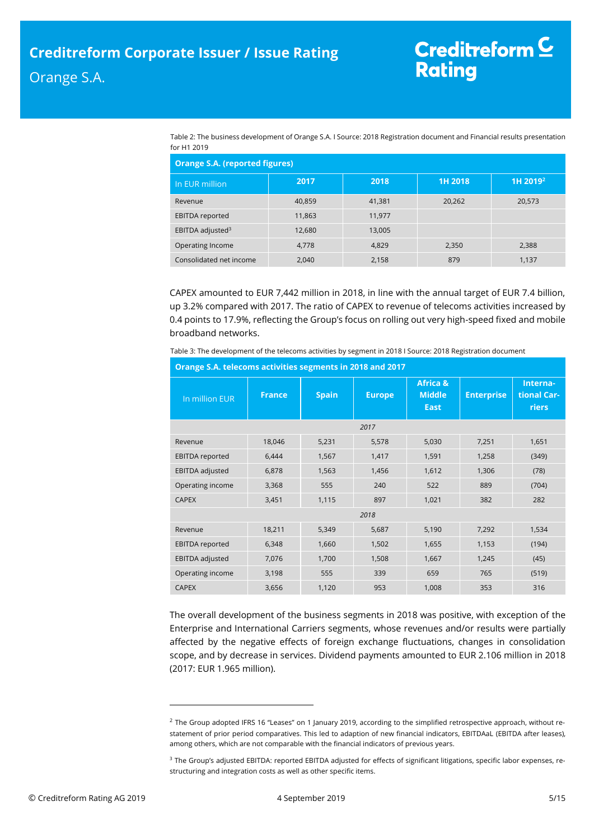| Table 2: The business development of Orange S.A. I Source: 2018 Registration document and Financial results presentation |
|--------------------------------------------------------------------------------------------------------------------------|
| for H1 2019                                                                                                              |

| <b>Orange S.A. (reported figures)</b> |        |        |         |                      |  |
|---------------------------------------|--------|--------|---------|----------------------|--|
| In EUR million                        | 2017   | 2018   | 1H 2018 | 1H 2019 <sup>2</sup> |  |
| Revenue                               | 40.859 | 41,381 | 20,262  | 20,573               |  |
| <b>EBITDA</b> reported                | 11,863 | 11,977 |         |                      |  |
| EBITDA adjusted <sup>3</sup>          | 12,680 | 13,005 |         |                      |  |
| Operating Income                      | 4,778  | 4,829  | 2,350   | 2,388                |  |
| Consolidated net income               | 2,040  | 2,158  | 879     | 1,137                |  |

CAPEX amounted to EUR 7,442 million in 2018, in line with the annual target of EUR 7.4 billion, up 3.2% compared with 2017. The ratio of CAPEX to revenue of telecoms activities increased by 0.4 points to 17.9%, reflecting the Group's focus on rolling out very high-speed fixed and mobile broadband networks.

Table 3: The development of the telecoms activities by segment in 2018 I Source: 2018 Registration document

| In million EUR         | <b>France</b> | <b>Spain</b> | <b>Europe</b> | <b>Africa &amp;</b><br><b>Middle</b><br><b>East</b> | <b>Enterprise</b> | Interna-<br>tional Car-<br>riers |
|------------------------|---------------|--------------|---------------|-----------------------------------------------------|-------------------|----------------------------------|
|                        |               |              | 2017          |                                                     |                   |                                  |
| Revenue                | 18,046        | 5,231        | 5,578         | 5,030                                               | 7,251             | 1,651                            |
| <b>EBITDA</b> reported | 6,444         | 1,567        | 1,417         | 1,591                                               | 1,258             | (349)                            |
| EBITDA adjusted        | 6,878         | 1,563        | 1,456         | 1,612                                               | 1,306             | (78)                             |
| Operating income       | 3,368         | 555          | 240           | 522                                                 | 889               | (704)                            |
| <b>CAPEX</b>           | 3,451         | 1,115        | 897           | 1,021                                               | 382               | 282                              |
| 2018                   |               |              |               |                                                     |                   |                                  |
| Revenue                | 18,211        | 5,349        | 5,687         | 5,190                                               | 7,292             | 1,534                            |
| <b>EBITDA</b> reported | 6,348         | 1,660        | 1,502         | 1,655                                               | 1,153             | (194)                            |
| EBITDA adjusted        | 7,076         | 1,700        | 1,508         | 1,667                                               | 1,245             | (45)                             |
| Operating income       | 3,198         | 555          | 339           | 659                                                 | 765               | (519)                            |
| <b>CAPEX</b>           | 3,656         | 1,120        | 953           | 1,008                                               | 353               | 316                              |

**Orange S.A. telecoms activities segments in 2018 and 2017**

The overall development of the business segments in 2018 was positive, with exception of the Enterprise and International Carriers segments, whose revenues and/or results were partially affected by the negative effects of foreign exchange fluctuations, changes in consolidation scope, and by decrease in services. Dividend payments amounted to EUR 2.106 million in 2018 (2017: EUR 1.965 million).

 $\overline{a}$ 

 $^2$  The Group adopted IFRS 16 "Leases" on 1 January 2019, according to the simplified retrospective approach, without restatement of prior period comparatives. This led to adaption of new financial indicators, EBITDAaL (EBITDA after leases), among others, which are not comparable with the financial indicators of previous years.

<sup>&</sup>lt;sup>3</sup> The Group's adjusted EBITDA: reported EBITDA adjusted for effects of significant litigations, specific labor expenses, restructuring and integration costs as well as other specific items.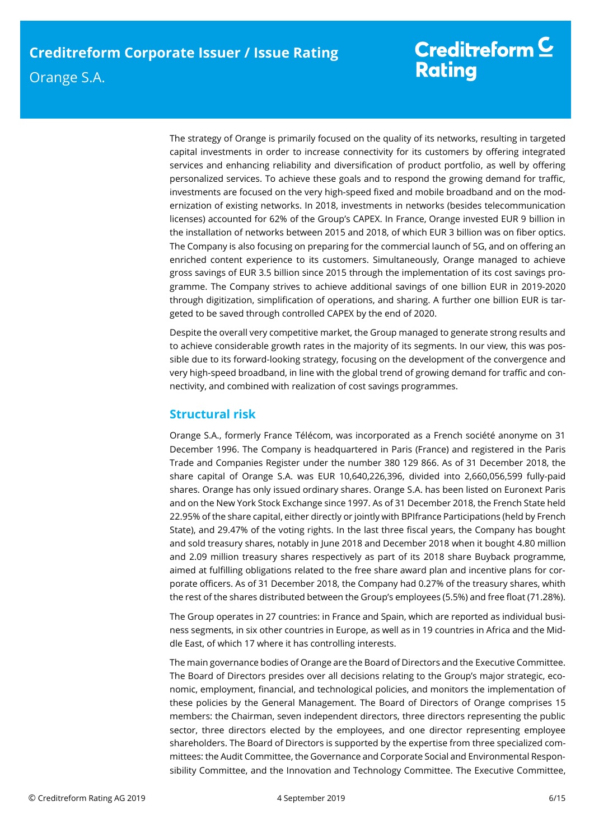The strategy of Orange is primarily focused on the quality of its networks, resulting in targeted capital investments in order to increase connectivity for its customers by offering integrated services and enhancing reliability and diversification of product portfolio, as well by offering personalized services. To achieve these goals and to respond the growing demand for traffic, investments are focused on the very high-speed fixed and mobile broadband and on the modernization of existing networks. In 2018, investments in networks (besides telecommunication licenses) accounted for 62% of the Group's CAPEX. In France, Orange invested EUR 9 billion in the installation of networks between 2015 and 2018, of which EUR 3 billion was on fiber optics. The Company is also focusing on preparing for the commercial launch of 5G, and on offering an enriched content experience to its customers. Simultaneously, Orange managed to achieve gross savings of EUR 3.5 billion since 2015 through the implementation of its cost savings programme. The Company strives to achieve additional savings of one billion EUR in 2019-2020 through digitization, simplification of operations, and sharing. A further one billion EUR is targeted to be saved through controlled CAPEX by the end of 2020.

Despite the overall very competitive market, the Group managed to generate strong results and to achieve considerable growth rates in the majority of its segments. In our view, this was possible due to its forward-looking strategy, focusing on the development of the convergence and very high-speed broadband, in line with the global trend of growing demand for traffic and connectivity, and combined with realization of cost savings programmes.

# <span id="page-5-0"></span>**Structural risk**

Orange S.A., formerly France Télécom, was incorporated as a French société anonyme on 31 December 1996. The Company is headquartered in Paris (France) and registered in the Paris Trade and Companies Register under the number 380 129 866. As of 31 December 2018, the share capital of Orange S.A. was EUR 10,640,226,396, divided into 2,660,056,599 fully-paid shares. Orange has only issued ordinary shares. Orange S.A. has been listed on Euronext Paris and on the New York Stock Exchange since 1997. As of 31 December 2018, the French State held 22.95% of the share capital, either directly or jointly with BPIfrance Participations (held by French State), and 29.47% of the voting rights. In the last three fiscal years, the Company has bought and sold treasury shares, notably in June 2018 and December 2018 when it bought 4.80 million and 2.09 million treasury shares respectively as part of its 2018 share Buyback programme, aimed at fulfilling obligations related to the free share award plan and incentive plans for corporate officers. As of 31 December 2018, the Company had 0.27% of the treasury shares, whith the rest of the shares distributed between the Group's employees (5.5%) and free float (71.28%).

The Group operates in 27 countries: in France and Spain, which are reported as individual business segments, in six other countries in Europe, as well as in 19 countries in Africa and the Middle East, of which 17 where it has controlling interests.

The main governance bodies of Orange are the Board of Directors and the Executive Committee. The Board of Directors presides over all decisions relating to the Group's major strategic, economic, employment, financial, and technological policies, and monitors the implementation of these policies by the General Management. The Board of Directors of Orange comprises 15 members: the Chairman, seven independent directors, three directors representing the public sector, three directors elected by the employees, and one director representing employee shareholders. The Board of Directors is supported by the expertise from three specialized committees: the Audit Committee, the Governance and Corporate Social and Environmental Responsibility Committee, and the Innovation and Technology Committee. The Executive Committee,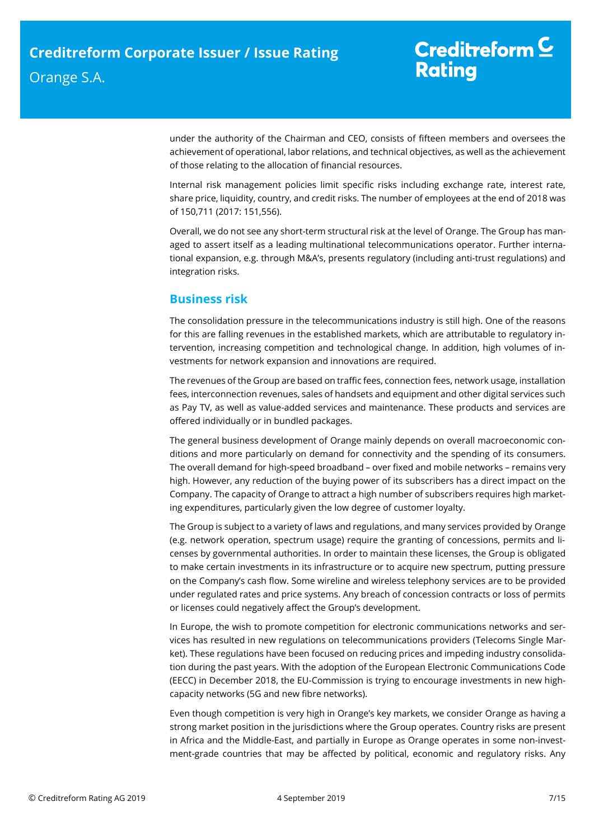under the authority of the Chairman and CEO, consists of fifteen members and oversees the achievement of operational, labor relations, and technical objectives, as well as the achievement of those relating to the allocation of financial resources.

Internal risk management policies limit specific risks including exchange rate, interest rate, share price, liquidity, country, and credit risks. The number of employees at the end of 2018 was of 150,711 (2017: 151,556).

Overall, we do not see any short-term structural risk at the level of Orange. The Group has managed to assert itself as a leading multinational telecommunications operator. Further international expansion, e.g. through M&A's, presents regulatory (including anti-trust regulations) and integration risks.

# <span id="page-6-0"></span>**Business risk**

The consolidation pressure in the telecommunications industry is still high. One of the reasons for this are falling revenues in the established markets, which are attributable to regulatory intervention, increasing competition and technological change. In addition, high volumes of investments for network expansion and innovations are required.

The revenues of the Group are based on traffic fees, connection fees, network usage, installation fees, interconnection revenues, sales of handsets and equipment and other digital services such as Pay TV, as well as value-added services and maintenance. These products and services are offered individually or in bundled packages.

The general business development of Orange mainly depends on overall macroeconomic conditions and more particularly on demand for connectivity and the spending of its consumers. The overall demand for high-speed broadband – over fixed and mobile networks – remains very high. However, any reduction of the buying power of its subscribers has a direct impact on the Company. The capacity of Orange to attract a high number of subscribers requires high marketing expenditures, particularly given the low degree of customer loyalty.

The Group is subject to a variety of laws and regulations, and many services provided by Orange (e.g. network operation, spectrum usage) require the granting of concessions, permits and licenses by governmental authorities. In order to maintain these licenses, the Group is obligated to make certain investments in its infrastructure or to acquire new spectrum, putting pressure on the Company's cash flow. Some wireline and wireless telephony services are to be provided under regulated rates and price systems. Any breach of concession contracts or loss of permits or licenses could negatively affect the Group's development.

In Europe, the wish to promote competition for electronic communications networks and services has resulted in new regulations on telecommunications providers (Telecoms Single Market). These regulations have been focused on reducing prices and impeding industry consolidation during the past years. With the adoption of the European Electronic Communications Code (EECC) in December 2018, the EU-Commission is trying to encourage investments in new highcapacity networks (5G and new fibre networks).

Even though competition is very high in Orange's key markets, we consider Orange as having a strong market position in the jurisdictions where the Group operates. Country risks are present in Africa and the Middle-East, and partially in Europe as Orange operates in some non-investment-grade countries that may be affected by political, economic and regulatory risks. Any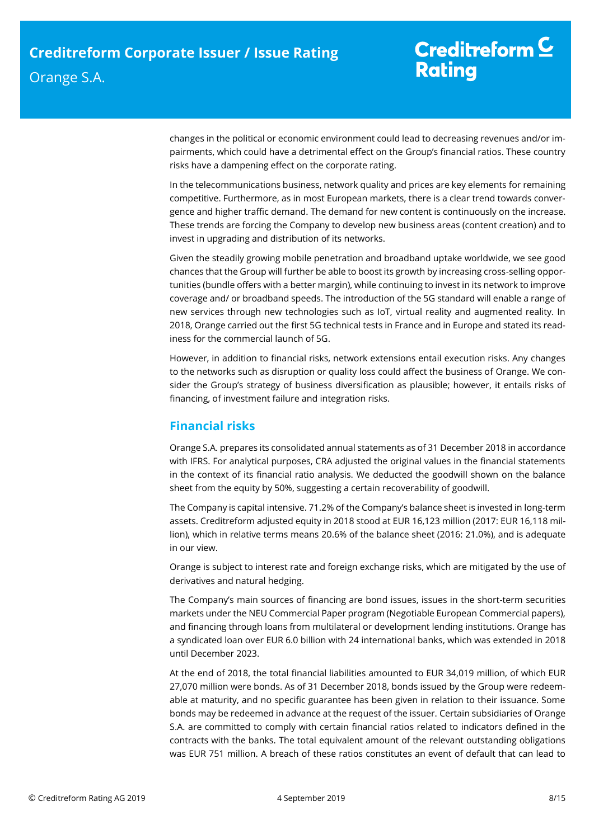changes in the political or economic environment could lead to decreasing revenues and/or impairments, which could have a detrimental effect on the Group's financial ratios. These country risks have a dampening effect on the corporate rating.

In the telecommunications business, network quality and prices are key elements for remaining competitive. Furthermore, as in most European markets, there is a clear trend towards convergence and higher traffic demand. The demand for new content is continuously on the increase. These trends are forcing the Company to develop new business areas (content creation) and to invest in upgrading and distribution of its networks.

Given the steadily growing mobile penetration and broadband uptake worldwide, we see good chances that the Group will further be able to boost its growth by increasing cross-selling opportunities (bundle offers with a better margin), while continuing to invest in its network to improve coverage and/ or broadband speeds. The introduction of the 5G standard will enable a range of new services through new technologies such as IoT, virtual reality and augmented reality. In 2018, Orange carried out the first 5G technical tests in France and in Europe and stated its readiness for the commercial launch of 5G.

However, in addition to financial risks, network extensions entail execution risks. Any changes to the networks such as disruption or quality loss could affect the business of Orange. We consider the Group's strategy of business diversification as plausible; however, it entails risks of financing, of investment failure and integration risks.

# <span id="page-7-0"></span>**Financial risks**

Orange S.A. prepares its consolidated annual statements as of 31 December 2018 in accordance with IFRS. For analytical purposes, CRA adjusted the original values in the financial statements in the context of its financial ratio analysis. We deducted the goodwill shown on the balance sheet from the equity by 50%, suggesting a certain recoverability of goodwill.

The Company is capital intensive. 71.2% of the Company's balance sheet is invested in long-term assets. Creditreform adjusted equity in 2018 stood at EUR 16,123 million (2017: EUR 16,118 million), which in relative terms means 20.6% of the balance sheet (2016: 21.0%), and is adequate in our view.

Orange is subject to interest rate and foreign exchange risks, which are mitigated by the use of derivatives and natural hedging.

The Company's main sources of financing are bond issues, issues in the short-term securities markets under the NEU Commercial Paper program (Negotiable European Commercial papers), and financing through loans from multilateral or development lending institutions. Orange has a syndicated loan over EUR 6.0 billion with 24 international banks, which was extended in 2018 until December 2023.

At the end of 2018, the total financial liabilities amounted to EUR 34,019 million, of which EUR 27,070 million were bonds. As of 31 December 2018, bonds issued by the Group were redeemable at maturity, and no specific guarantee has been given in relation to their issuance. Some bonds may be redeemed in advance at the request of the issuer. Certain subsidiaries of Orange S.A. are committed to comply with certain financial ratios related to indicators defined in the contracts with the banks. The total equivalent amount of the relevant outstanding obligations was EUR 751 million. A breach of these ratios constitutes an event of default that can lead to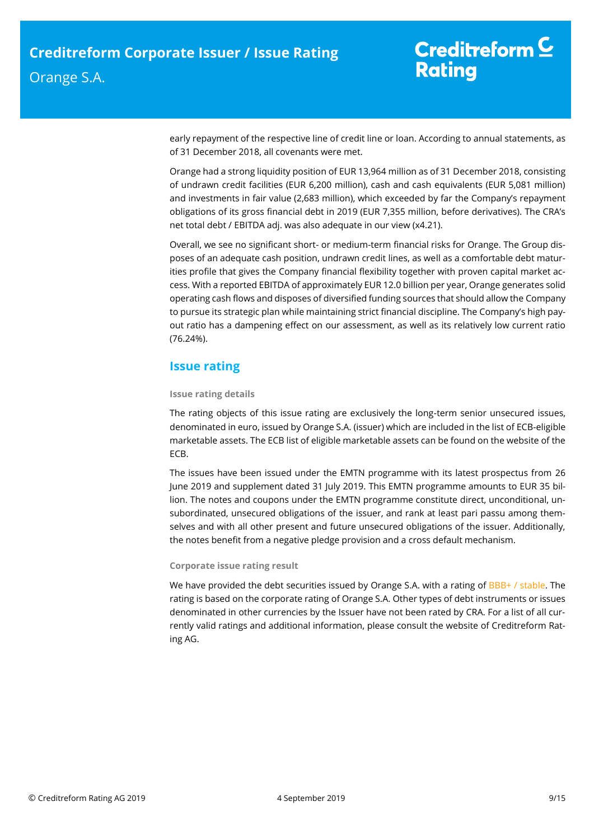early repayment of the respective line of credit line or loan. According to annual statements, as of 31 December 2018, all covenants were met.

Orange had a strong liquidity position of EUR 13,964 million as of 31 December 2018, consisting of undrawn credit facilities (EUR 6,200 million), cash and cash equivalents (EUR 5,081 million) and investments in fair value (2,683 million), which exceeded by far the Company's repayment obligations of its gross financial debt in 2019 (EUR 7,355 million, before derivatives). The CRA's net total debt / EBITDA adj. was also adequate in our view (x4.21).

Overall, we see no significant short- or medium-term financial risks for Orange. The Group disposes of an adequate cash position, undrawn credit lines, as well as a comfortable debt maturities profile that gives the Company financial flexibility together with proven capital market access. With a reported EBITDA of approximately EUR 12.0 billion per year, Orange generates solid operating cash flows and disposes of diversified funding sources that should allow the Company to pursue its strategic plan while maintaining strict financial discipline. The Company's high payout ratio has a dampening effect on our assessment, as well as its relatively low current ratio (76.24%).

# <span id="page-8-0"></span>**Issue rating**

## **Issue rating details**

The rating objects of this issue rating are exclusively the long-term senior unsecured issues, denominated in euro, issued by Orange S.A. (issuer) which are included in the list of ECB-eligible marketable assets. The ECB list of eligible marketable assets can be found on the website of the ECB.

The issues have been issued under the EMTN programme with its latest prospectus from 26 June 2019 and supplement dated 31 July 2019. This EMTN programme amounts to EUR 35 billion. The notes and coupons under the EMTN programme constitute direct, unconditional, unsubordinated, unsecured obligations of the issuer, and rank at least pari passu among themselves and with all other present and future unsecured obligations of the issuer. Additionally, the notes benefit from a negative pledge provision and a cross default mechanism.

## **Corporate issue rating result**

We have provided the debt securities issued by Orange S.A. with a rating of BBB+ / stable. The rating is based on the corporate rating of Orange S.A. Other types of debt instruments or issues denominated in other currencies by the Issuer have not been rated by CRA. For a list of all currently valid ratings and additional information, please consult the website of Creditreform Rating AG.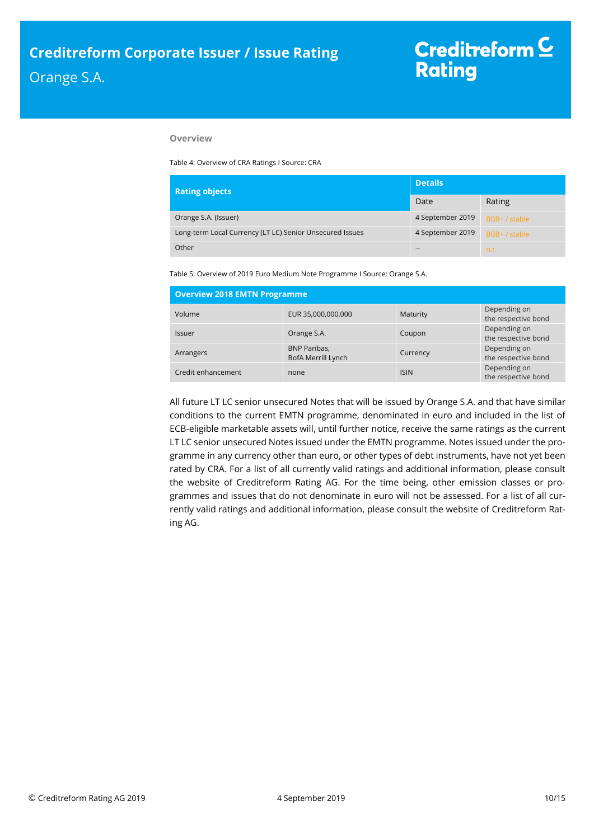## **Overview**

Table 4: Overview of CRA Ratings I Source: CRA

| <b>Rating objects</b> |                                                          | <b>Details</b>   |               |
|-----------------------|----------------------------------------------------------|------------------|---------------|
|                       |                                                          | Date             | Rating        |
|                       | Orange S.A. (Issuer)                                     | 4 September 2019 | BBB+ / stable |
|                       | Long-term Local Currency (LT LC) Senior Unsecured Issues | 4 September 2019 | BBB+ / stable |
|                       | Other                                                    | $- -$            | n.r.          |

Table 5: Overview of 2019 Euro Medium Note Programme I Source: Orange S.A.

| <b>Overview 2018 EMTN Programme</b> |                                           |             |                                     |  |  |  |
|-------------------------------------|-------------------------------------------|-------------|-------------------------------------|--|--|--|
| Volume                              | EUR 35,000,000,000                        | Maturity    | Depending on<br>the respective bond |  |  |  |
| <b>Issuer</b>                       | Orange S.A.                               | Coupon      | Depending on<br>the respective bond |  |  |  |
| Arrangers                           | <b>BNP Paribas,</b><br>BofA Merrill Lynch | Currency    | Depending on<br>the respective bond |  |  |  |
| Credit enhancement                  | none                                      | <b>ISIN</b> | Depending on<br>the respective bond |  |  |  |

<span id="page-9-0"></span>All future LT LC senior unsecured Notes that will be issued by Orange S.A. and that have similar conditions to the current EMTN programme, denominated in euro and included in the list of ECB-eligible marketable assets will, until further notice, receive the same ratings as the current LT LC senior unsecured Notes issued under the EMTN programme. Notes issued under the programme in any currency other than euro, or other types of debt instruments, have not yet been rated by CRA. For a list of all currently valid ratings and additional information, please consult the website of Creditreform Rating AG. For the time being, other emission classes or programmes and issues that do not denominate in euro will not be assessed. For a list of all currently valid ratings and additional information, please consult the website of Creditreform Rating AG.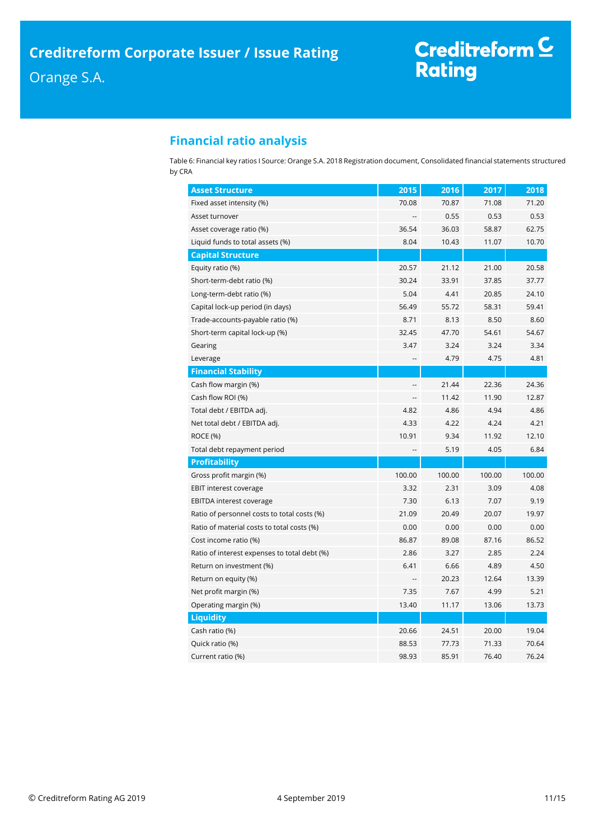# Creditreform C<br>Rating

# **Financial ratio analysis**

Table 6: Financial key ratios I Source: Orange S.A. 2018 Registration document, Consolidated financial statements structured by CRA

| <b>Asset Structure</b>                       | 2015           | 2016   | 2017   | 2018   |
|----------------------------------------------|----------------|--------|--------|--------|
| Fixed asset intensity (%)                    | 70.08          | 70.87  | 71.08  | 71.20  |
| Asset turnover                               |                | 0.55   | 0.53   | 0.53   |
| Asset coverage ratio (%)                     | 36.54          | 36.03  | 58.87  | 62.75  |
| Liquid funds to total assets (%)             | 8.04           | 10.43  | 11.07  | 10.70  |
| <b>Capital Structure</b>                     |                |        |        |        |
| Equity ratio (%)                             | 20.57          | 21.12  | 21.00  | 20.58  |
| Short-term-debt ratio (%)                    | 30.24          | 33.91  | 37.85  | 37.77  |
| Long-term-debt ratio (%)                     | 5.04           | 4.41   | 20.85  | 24.10  |
| Capital lock-up period (in days)             | 56.49          | 55.72  | 58.31  | 59.41  |
| Trade-accounts-payable ratio (%)             | 8.71           | 8.13   | 8.50   | 8.60   |
| Short-term capital lock-up (%)               | 32.45          | 47.70  | 54.61  | 54.67  |
| Gearing                                      | 3.47           | 3.24   | 3.24   | 3.34   |
| Leverage                                     | ٠.             | 4.79   | 4.75   | 4.81   |
| <b>Financial Stability</b>                   |                |        |        |        |
| Cash flow margin (%)                         |                | 21.44  | 22.36  | 24.36  |
| Cash flow ROI (%)                            | $\overline{a}$ | 11.42  | 11.90  | 12.87  |
| Total debt / EBITDA adj.                     | 4.82           | 4.86   | 4.94   | 4.86   |
| Net total debt / EBITDA adj.                 | 4.33           | 4.22   | 4.24   | 4.21   |
| <b>ROCE (%)</b>                              | 10.91          | 9.34   | 11.92  | 12.10  |
| Total debt repayment period                  |                | 5.19   | 4.05   | 6.84   |
| <b>Profitability</b>                         |                |        |        |        |
| Gross profit margin (%)                      | 100.00         | 100.00 | 100.00 | 100.00 |
| <b>EBIT interest coverage</b>                | 3.32           | 2.31   | 3.09   | 4.08   |
| <b>EBITDA interest coverage</b>              | 7.30           | 6.13   | 7.07   | 9.19   |
| Ratio of personnel costs to total costs (%)  | 21.09          | 20.49  | 20.07  | 19.97  |
| Ratio of material costs to total costs (%)   | 0.00           | 0.00   | 0.00   | 0.00   |
| Cost income ratio (%)                        | 86.87          | 89.08  | 87.16  | 86.52  |
| Ratio of interest expenses to total debt (%) | 2.86           | 3.27   | 2.85   | 2.24   |
| Return on investment (%)                     | 6.41           | 6.66   | 4.89   | 4.50   |
| Return on equity (%)                         |                | 20.23  | 12.64  | 13.39  |
| Net profit margin (%)                        | 7.35           | 7.67   | 4.99   | 5.21   |
| Operating margin (%)                         | 13.40          | 11.17  | 13.06  | 13.73  |
| <b>Liquidity</b>                             |                |        |        |        |
| Cash ratio (%)                               | 20.66          | 24.51  | 20.00  | 19.04  |
| Quick ratio (%)                              | 88.53          | 77.73  | 71.33  | 70.64  |
| Current ratio (%)                            | 98.93          | 85.91  | 76.40  | 76.24  |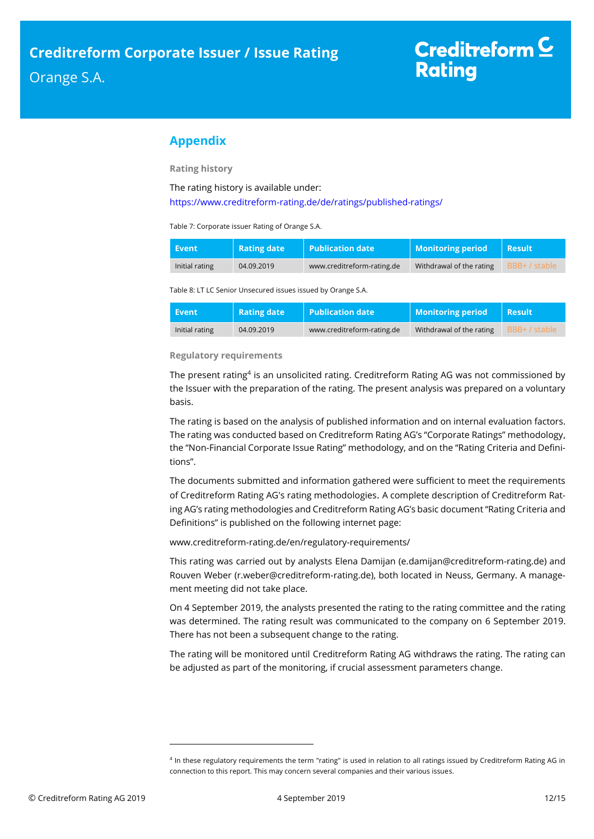# <span id="page-11-0"></span>**Appendix**

**Rating history**

The rating history is available under:

<https://www.creditreform-rating.de/de/ratings/published-ratings/>

Table 7: Corporate issuer Rating of Orange S.A.

| Event          | <b>Rating date</b> | <b>Publication date</b>    | <b>Monitoring period</b> | <b>Result</b> |
|----------------|--------------------|----------------------------|--------------------------|---------------|
| Initial rating | 04.09.2019         | www.creditreform-rating.de | Withdrawal of the rating | BBB+ / stable |

Table 8: LT LC Senior Unsecured issues issued by Orange S.A.

| Event          | <b>Rating date</b> | $\vert$ Publication date   | <b>Monitoring period</b> | <b>Result</b> ' |
|----------------|--------------------|----------------------------|--------------------------|-----------------|
| Initial rating | 04.09.2019         | www.creditreform-rating.de | Withdrawal of the rating | BBB+ / stable   |

## **Regulatory requirements**

The present rating<sup>4</sup> is an unsolicited rating. Creditreform Rating AG was not commissioned by the Issuer with the preparation of the rating. The present analysis was prepared on a voluntary basis.

The rating is based on the analysis of published information and on internal evaluation factors. The rating was conducted based on Creditreform Rating AG's "Corporate Ratings" methodology, the "Non-Financial Corporate Issue Rating" methodology, and on the "Rating Criteria and Definitions".

The documents submitted and information gathered were sufficient to meet the requirements of Creditreform Rating AG's rating methodologies. A complete description of Creditreform Rating AG's rating methodologies and Creditreform Rating AG's basic document "Rating Criteria and Definitions" is published on the following internet page:

[www.creditreform-rating.de/](http://www.creditreform-rating.de/)en/regulatory-requirements/

This rating was carried out by analysts Elena Damijan (e.damijan@creditreform-rating.de) and Rouven Weber (r.weber@creditreform-rating.de), both located in Neuss, Germany. A management meeting did not take place.

On 4 September 2019, the analysts presented the rating to the rating committee and the rating was determined. The rating result was communicated to the company on 6 September 2019. There has not been a subsequent change to the rating.

The rating will be monitored until Creditreform Rating AG withdraws the rating. The rating can be adjusted as part of the monitoring, if crucial assessment parameters change.

 $\overline{a}$ 

<sup>4</sup> In these regulatory requirements the term "rating" is used in relation to all ratings issued by Creditreform Rating AG in connection to this report. This may concern several companies and their various issues.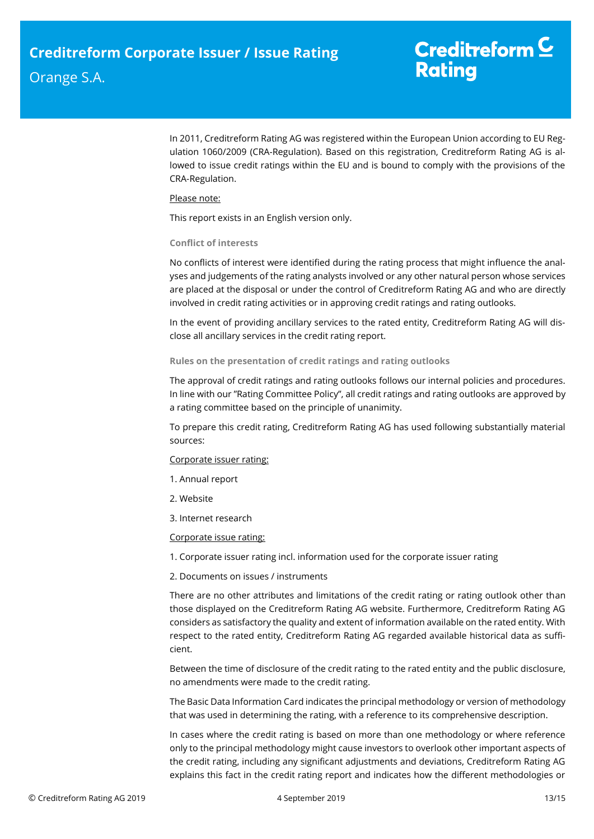# Creditreform  $\underline{\mathsf{C}}$ **Rating**

In 2011, Creditreform Rating AG was registered within the European Union according to EU Regulation 1060/2009 (CRA-Regulation). Based on this registration, Creditreform Rating AG is allowed to issue credit ratings within the EU and is bound to comply with the provisions of the CRA-Regulation.

## Please note:

This report exists in an English version only.

#### **Conflict of interests**

No conflicts of interest were identified during the rating process that might influence the analyses and judgements of the rating analysts involved or any other natural person whose services are placed at the disposal or under the control of Creditreform Rating AG and who are directly involved in credit rating activities or in approving credit ratings and rating outlooks.

In the event of providing ancillary services to the rated entity, Creditreform Rating AG will disclose all ancillary services in the credit rating report.

## **Rules on the presentation of credit ratings and rating outlooks**

The approval of credit ratings and rating outlooks follows our internal policies and procedures. In line with our "Rating Committee Policy", all credit ratings and rating outlooks are approved by a rating committee based on the principle of unanimity.

To prepare this credit rating, Creditreform Rating AG has used following substantially material sources:

#### Corporate issuer rating:

- 1. Annual report
- 2. Website
- 3. Internet research

## Corporate issue rating:

1. Corporate issuer rating incl. information used for the corporate issuer rating

2. Documents on issues / instruments

There are no other attributes and limitations of the credit rating or rating outlook other than those displayed on the Creditreform Rating AG website. Furthermore, Creditreform Rating AG considers as satisfactory the quality and extent of information available on the rated entity. With respect to the rated entity, Creditreform Rating AG regarded available historical data as sufficient.

Between the time of disclosure of the credit rating to the rated entity and the public disclosure, no amendments were made to the credit rating.

The Basic Data Information Card indicates the principal methodology or version of methodology that was used in determining the rating, with a reference to its comprehensive description.

In cases where the credit rating is based on more than one methodology or where reference only to the principal methodology might cause investors to overlook other important aspects of the credit rating, including any significant adjustments and deviations, Creditreform Rating AG explains this fact in the credit rating report and indicates how the different methodologies or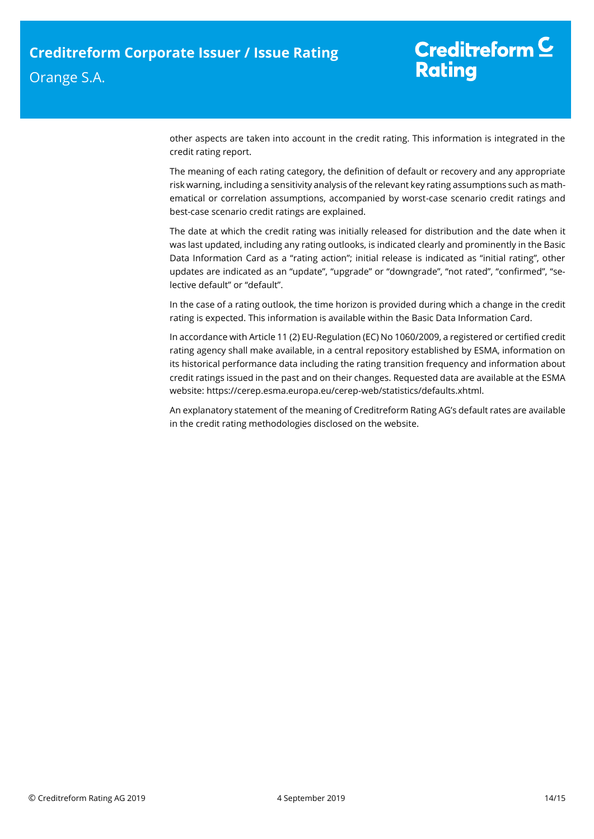other aspects are taken into account in the credit rating. This information is integrated in the credit rating report.

The meaning of each rating category, the definition of default or recovery and any appropriate risk warning, including a sensitivity analysis of the relevant key rating assumptions such as mathematical or correlation assumptions, accompanied by worst-case scenario credit ratings and best-case scenario credit ratings are explained.

The date at which the credit rating was initially released for distribution and the date when it was last updated, including any rating outlooks, is indicated clearly and prominently in the Basic Data Information Card as a "rating action"; initial release is indicated as "initial rating", other updates are indicated as an "update", "upgrade" or "downgrade", "not rated", "confirmed", "selective default" or "default".

In the case of a rating outlook, the time horizon is provided during which a change in the credit rating is expected. This information is available within the Basic Data Information Card.

In accordance with Article 11 (2) EU-Regulation (EC) No 1060/2009, a registered or certified credit rating agency shall make available, in a central repository established by ESMA, information on its historical performance data including the rating transition frequency and information about credit ratings issued in the past and on their changes. Requested data are available at the ESMA website: https://cerep.esma.europa.eu/cerep-web/statistics/defaults.xhtml.

An explanatory statement of the meaning of Creditreform Rating AG's default rates are available in the credit rating methodologies disclosed on the website.